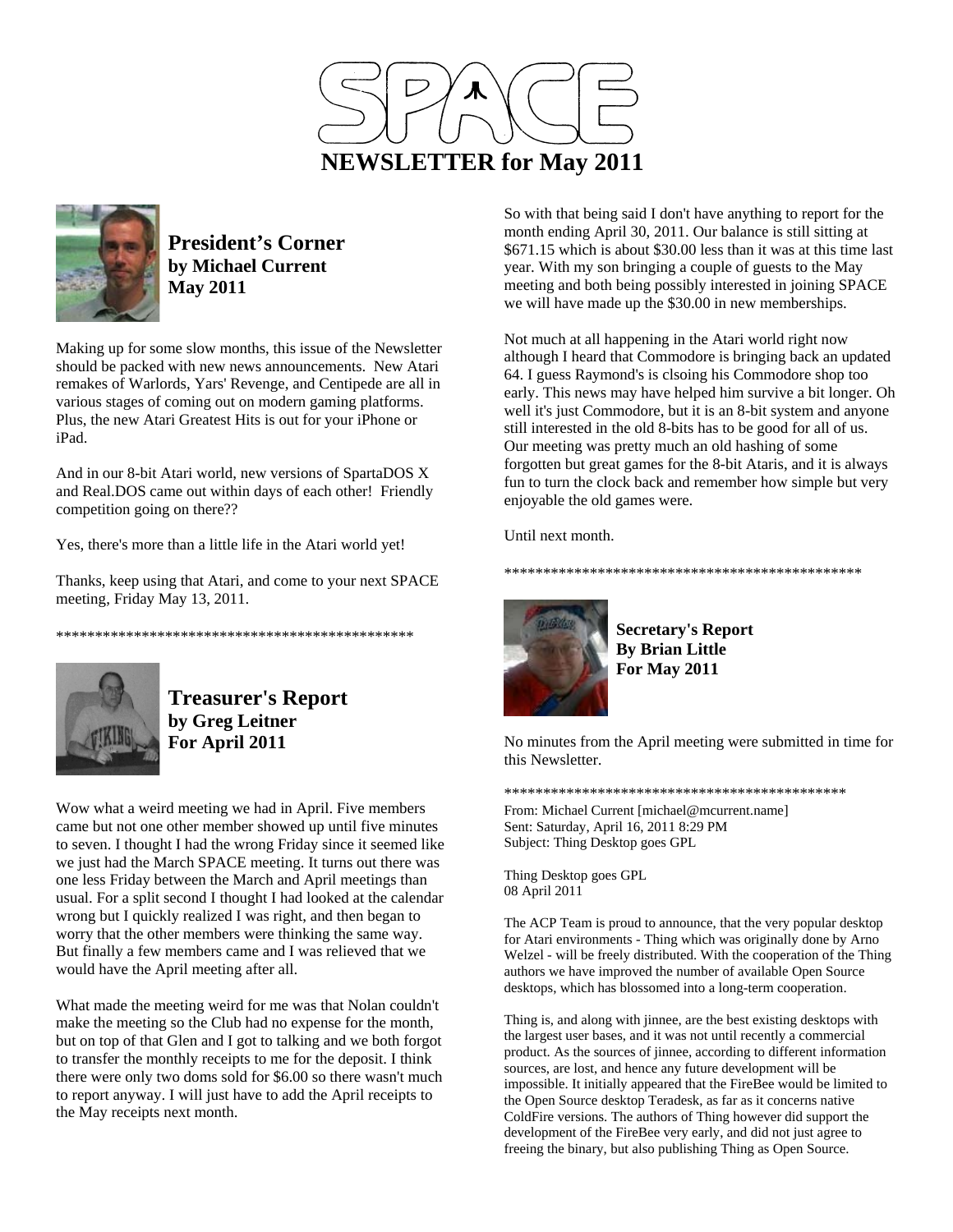



**President's Corner by Michael Current May 2011**

Making up for some slow months, this issue of the Newsletter should be packed with new news announcements. New Atari remakes of Warlords, Yars' Revenge, and Centipede are all in various stages of coming out on modern gaming platforms. Plus, the new Atari Greatest Hits is out for your iPhone or iPad.

And in our 8-bit Atari world, new versions of SpartaDOS X and Real.DOS came out within days of each other! Friendly competition going on there??

Yes, there's more than a little life in the Atari world yet!

\*\*\*\*\*\*\*\*\*\*\*\*\*\*\*\*\*\*\*\*\*\*\*\*\*\*\*\*\*\*\*\*\*\*\*\*\*\*\*\*\*\*\*\*\*\*

Thanks, keep using that Atari, and come to your next SPACE meeting, Friday May 13, 2011.



**Treasurer's Report by Greg Leitner For April 2011** 

Wow what a weird meeting we had in April. Five members came but not one other member showed up until five minutes to seven. I thought I had the wrong Friday since it seemed like we just had the March SPACE meeting. It turns out there was one less Friday between the March and April meetings than usual. For a split second I thought I had looked at the calendar wrong but I quickly realized I was right, and then began to worry that the other members were thinking the same way. But finally a few members came and I was relieved that we would have the April meeting after all.

What made the meeting weird for me was that Nolan couldn't make the meeting so the Club had no expense for the month, but on top of that Glen and I got to talking and we both forgot to transfer the monthly receipts to me for the deposit. I think there were only two doms sold for \$6.00 so there wasn't much to report anyway. I will just have to add the April receipts to the May receipts next month.

So with that being said I don't have anything to report for the month ending April 30, 2011. Our balance is still sitting at \$671.15 which is about \$30.00 less than it was at this time last year. With my son bringing a couple of guests to the May meeting and both being possibly interested in joining SPACE we will have made up the \$30.00 in new memberships.

Not much at all happening in the Atari world right now although I heard that Commodore is bringing back an updated 64. I guess Raymond's is clsoing his Commodore shop too early. This news may have helped him survive a bit longer. Oh well it's just Commodore, but it is an 8-bit system and anyone still interested in the old 8-bits has to be good for all of us. Our meeting was pretty much an old hashing of some forgotten but great games for the 8-bit Ataris, and it is always fun to turn the clock back and remember how simple but very enjoyable the old games were.

Until next month.



**Secretary's Report By Brian Little For May 2011** 

\*\*\*\*\*\*\*\*\*\*\*\*\*\*\*\*\*\*\*\*\*\*\*\*\*\*\*\*\*\*\*\*\*\*\*\*\*\*\*\*\*\*\*\*\*\*

No minutes from the April meeting were submitted in time for this Newsletter.

\*\*\*\*\*\*\*\*\*\*\*\*\*\*\*\*\*\*\*\*\*\*\*\*\*\*\*\*\*\*\*\*\*\*\*\*\*\*\*\*\*\*\*\*

From: Michael Current [michael@mcurrent.name] Sent: Saturday, April 16, 2011 8:29 PM Subject: Thing Desktop goes GPL

Thing Desktop goes GPL 08 April 2011

The ACP Team is proud to announce, that the very popular desktop for Atari environments - Thing which was originally done by Arno Welzel - will be freely distributed. With the cooperation of the Thing authors we have improved the number of available Open Source desktops, which has blossomed into a long-term cooperation.

Thing is, and along with jinnee, are the best existing desktops with the largest user bases, and it was not until recently a commercial product. As the sources of jinnee, according to different information sources, are lost, and hence any future development will be impossible. It initially appeared that the FireBee would be limited to the Open Source desktop Teradesk, as far as it concerns native ColdFire versions. The authors of Thing however did support the development of the FireBee very early, and did not just agree to freeing the binary, but also publishing Thing as Open Source.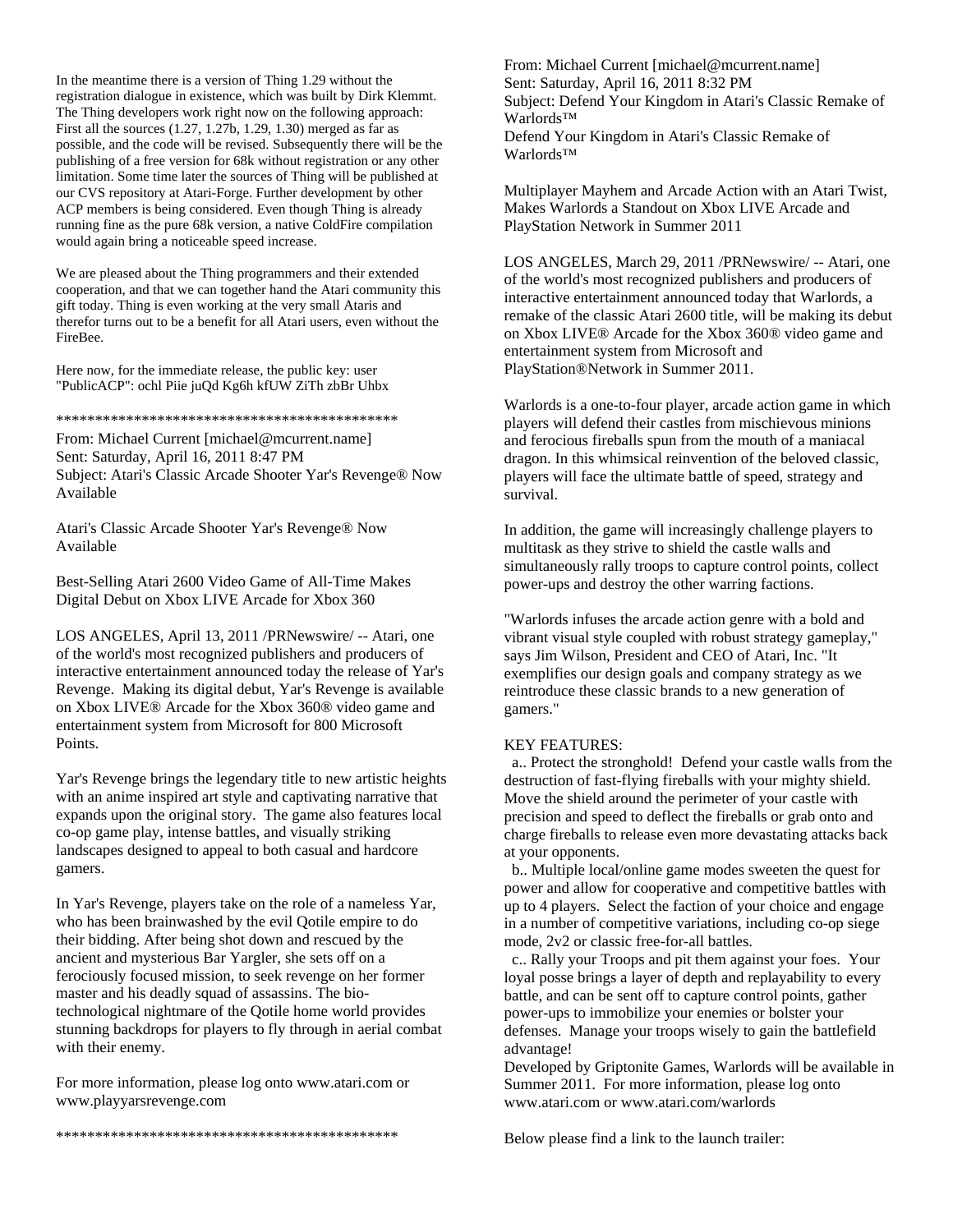In the meantime there is a version of Thing 1.29 without the registration dialogue in existence, which was built by Dirk Klemmt. The Thing developers work right now on the following approach: First all the sources (1.27, 1.27b, 1.29, 1.30) merged as far as possible, and the code will be revised. Subsequently there will be the publishing of a free version for 68k without registration or any other limitation. Some time later the sources of Thing will be published at our CVS repository at Atari-Forge. Further development by other ACP members is being considered. Even though Thing is already running fine as the pure 68k version, a native ColdFire compilation would again bring a noticeable speed increase.

We are pleased about the Thing programmers and their extended cooperation, and that we can together hand the Atari community this gift today. Thing is even working at the very small Ataris and therefor turns out to be a benefit for all Atari users, even without the FireBee.

Here now, for the immediate release, the public key: user "PublicACP": ochl Piie juQd Kg6h kfUW ZiTh zbBr Uhbx

\*\*\*\*\*\*\*\*\*\*\*\*\*\*\*\*\*\*\*\*\*\*\*\*\*\*\*\*\*\*\*\*\*\*\*\*\*\*\*\*\*\*\*\*

From: Michael Current [michael@mcurrent.name] Sent: Saturday, April 16, 2011 8:47 PM Subject: Atari's Classic Arcade Shooter Yar's Revenge® Now Available

Atari's Classic Arcade Shooter Yar's Revenge® Now Available

Best-Selling Atari 2600 Video Game of All-Time Makes Digital Debut on Xbox LIVE Arcade for Xbox 360

LOS ANGELES, April 13, 2011 /PRNewswire/ -- Atari, one of the world's most recognized publishers and producers of interactive entertainment announced today the release of Yar's Revenge. Making its digital debut, Yar's Revenge is available on Xbox LIVE® Arcade for the Xbox 360® video game and entertainment system from Microsoft for 800 Microsoft Points.

Yar's Revenge brings the legendary title to new artistic heights with an anime inspired art style and captivating narrative that expands upon the original story. The game also features local co-op game play, intense battles, and visually striking landscapes designed to appeal to both casual and hardcore gamers.

In Yar's Revenge, players take on the role of a nameless Yar, who has been brainwashed by the evil Qotile empire to do their bidding. After being shot down and rescued by the ancient and mysterious Bar Yargler, she sets off on a ferociously focused mission, to seek revenge on her former master and his deadly squad of assassins. The biotechnological nightmare of the Qotile home world provides stunning backdrops for players to fly through in aerial combat with their enemy.

For more information, please log onto www.atari.com or www.playyarsrevenge.com

From: Michael Current [michael@mcurrent.name] Sent: Saturday, April 16, 2011 8:32 PM Subject: Defend Your Kingdom in Atari's Classic Remake of Warlords™ Defend Your Kingdom in Atari's Classic Remake of Warlords™

Multiplayer Mayhem and Arcade Action with an Atari Twist, Makes Warlords a Standout on Xbox LIVE Arcade and PlayStation Network in Summer 2011

LOS ANGELES, March 29, 2011 /PRNewswire/ -- Atari, one of the world's most recognized publishers and producers of interactive entertainment announced today that Warlords, a remake of the classic Atari 2600 title, will be making its debut on Xbox LIVE® Arcade for the Xbox 360® video game and entertainment system from Microsoft and PlayStation®Network in Summer 2011.

Warlords is a one-to-four player, arcade action game in which players will defend their castles from mischievous minions and ferocious fireballs spun from the mouth of a maniacal dragon. In this whimsical reinvention of the beloved classic, players will face the ultimate battle of speed, strategy and survival.

In addition, the game will increasingly challenge players to multitask as they strive to shield the castle walls and simultaneously rally troops to capture control points, collect power-ups and destroy the other warring factions.

"Warlords infuses the arcade action genre with a bold and vibrant visual style coupled with robust strategy gameplay," says Jim Wilson, President and CEO of Atari, Inc. "It exemplifies our design goals and company strategy as we reintroduce these classic brands to a new generation of gamers."

#### KEY FEATURES:

 a.. Protect the stronghold! Defend your castle walls from the destruction of fast-flying fireballs with your mighty shield. Move the shield around the perimeter of your castle with precision and speed to deflect the fireballs or grab onto and charge fireballs to release even more devastating attacks back at your opponents.

 b.. Multiple local/online game modes sweeten the quest for power and allow for cooperative and competitive battles with up to 4 players. Select the faction of your choice and engage in a number of competitive variations, including co-op siege mode, 2v2 or classic free-for-all battles.

 c.. Rally your Troops and pit them against your foes. Your loyal posse brings a layer of depth and replayability to every battle, and can be sent off to capture control points, gather power-ups to immobilize your enemies or bolster your defenses. Manage your troops wisely to gain the battlefield advantage!

Developed by Griptonite Games, Warlords will be available in Summer 2011. For more information, please log onto www.atari.com or www.atari.com/warlords

Below please find a link to the launch trailer:

\*\*\*\*\*\*\*\*\*\*\*\*\*\*\*\*\*\*\*\*\*\*\*\*\*\*\*\*\*\*\*\*\*\*\*\*\*\*\*\*\*\*\*\*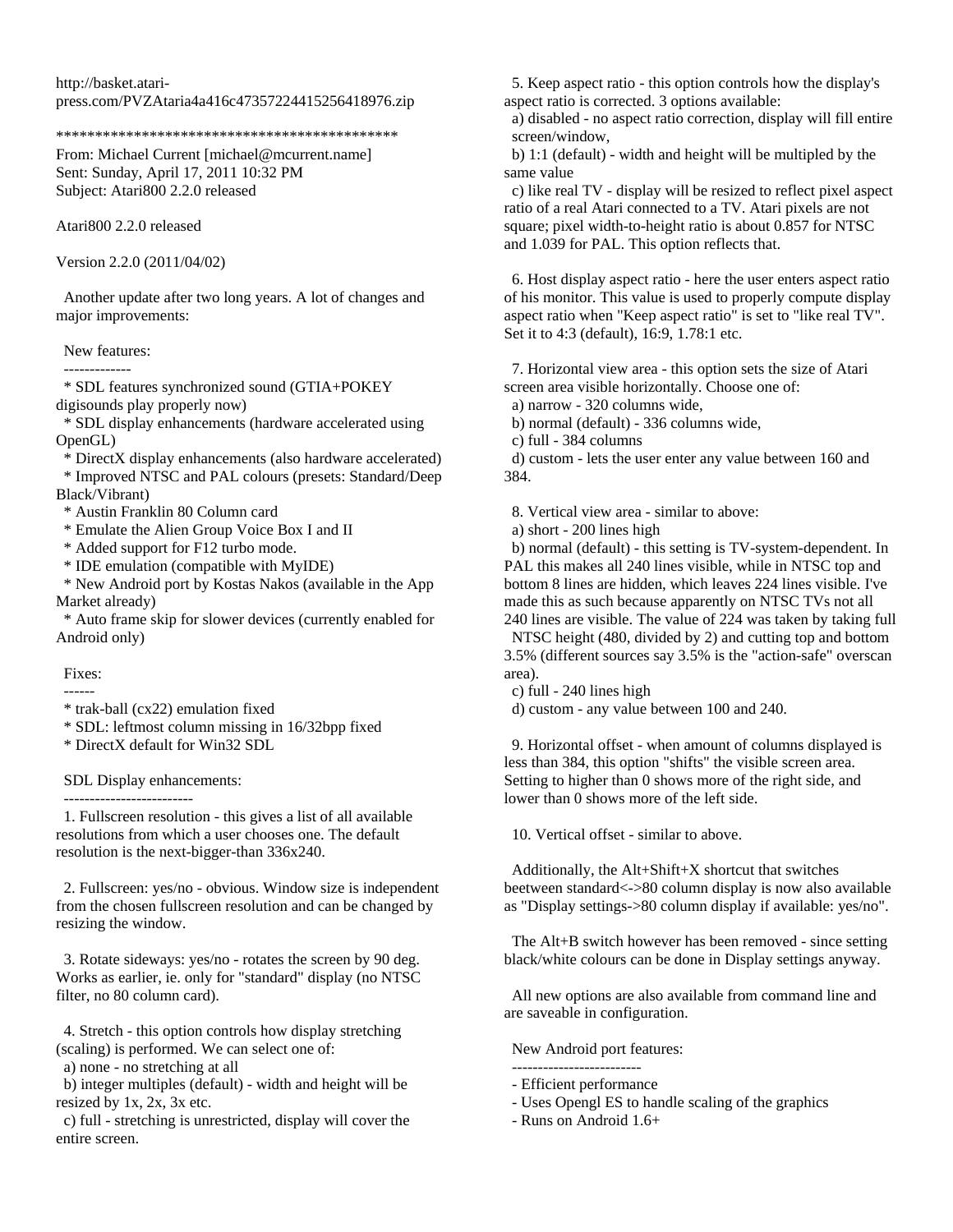http://basket.ataripress.com/PVZAtaria4a416c47357224415256418976.zip

\*\*\*\*\*\*\*\*\*\*\*\*\*\*\*\*\*\*\*\*\*\*\*\*\*\*\*\*\*\*\*\*\*\*\*\*\*\*\*\*\*\*\*\*

From: Michael Current [michael@mcurrent.name] Sent: Sunday, April 17, 2011 10:32 PM Subject: Atari800 2.2.0 released

Atari800 2.2.0 released

Version 2.2.0 (2011/04/02)

 Another update after two long years. A lot of changes and major improvements:

New features:

-------------

 \* SDL features synchronized sound (GTIA+POKEY digisounds play properly now)

 \* SDL display enhancements (hardware accelerated using OpenGL)

\* DirectX display enhancements (also hardware accelerated)

 \* Improved NTSC and PAL colours (presets: Standard/Deep Black/Vibrant)

\* Austin Franklin 80 Column card

\* Emulate the Alien Group Voice Box I and II

\* Added support for F12 turbo mode.

\* IDE emulation (compatible with MyIDE)

 \* New Android port by Kostas Nakos (available in the App Market already)

 \* Auto frame skip for slower devices (currently enabled for Android only)

Fixes:

 ------ \* trak-ball (cx22) emulation fixed

\* SDL: leftmost column missing in 16/32bpp fixed

\* DirectX default for Win32 SDL

SDL Display enhancements:

-------------------------

 1. Fullscreen resolution - this gives a list of all available resolutions from which a user chooses one. The default resolution is the next-bigger-than 336x240.

 2. Fullscreen: yes/no - obvious. Window size is independent from the chosen fullscreen resolution and can be changed by resizing the window.

 3. Rotate sideways: yes/no - rotates the screen by 90 deg. Works as earlier, ie. only for "standard" display (no NTSC filter, no 80 column card).

 4. Stretch - this option controls how display stretching (scaling) is performed. We can select one of:

a) none - no stretching at all

 b) integer multiples (default) - width and height will be resized by 1x, 2x, 3x etc.

 c) full - stretching is unrestricted, display will cover the entire screen.

 5. Keep aspect ratio - this option controls how the display's aspect ratio is corrected. 3 options available:

 a) disabled - no aspect ratio correction, display will fill entire screen/window,

 b) 1:1 (default) - width and height will be multipled by the same value

 c) like real TV - display will be resized to reflect pixel aspect ratio of a real Atari connected to a TV. Atari pixels are not square; pixel width-to-height ratio is about 0.857 for NTSC and 1.039 for PAL. This option reflects that.

 6. Host display aspect ratio - here the user enters aspect ratio of his monitor. This value is used to properly compute display aspect ratio when "Keep aspect ratio" is set to "like real TV". Set it to 4:3 (default), 16:9, 1.78:1 etc.

 7. Horizontal view area - this option sets the size of Atari screen area visible horizontally. Choose one of:

a) narrow - 320 columns wide,

b) normal (default) - 336 columns wide,

c) full - 384 columns

 d) custom - lets the user enter any value between 160 and 384.

8. Vertical view area - similar to above:

a) short - 200 lines high

 b) normal (default) - this setting is TV-system-dependent. In PAL this makes all 240 lines visible, while in NTSC top and bottom 8 lines are hidden, which leaves 224 lines visible. I've made this as such because apparently on NTSC TVs not all

240 lines are visible. The value of 224 was taken by taking full NTSC height (480, divided by 2) and cutting top and bottom 3.5% (different sources say 3.5% is the "action-safe" overscan area).

c) full - 240 lines high

d) custom - any value between 100 and 240.

 9. Horizontal offset - when amount of columns displayed is less than 384, this option "shifts" the visible screen area. Setting to higher than 0 shows more of the right side, and lower than 0 shows more of the left side.

10. Vertical offset - similar to above.

 Additionally, the Alt+Shift+X shortcut that switches beetween standard<->80 column display is now also available as "Display settings->80 column display if available: yes/no".

 The Alt+B switch however has been removed - since setting black/white colours can be done in Display settings anyway.

 All new options are also available from command line and are saveable in configuration.

New Android port features:

-------------------------

- Efficient performance

- Uses Opengl ES to handle scaling of the graphics
- Runs on Android 1.6+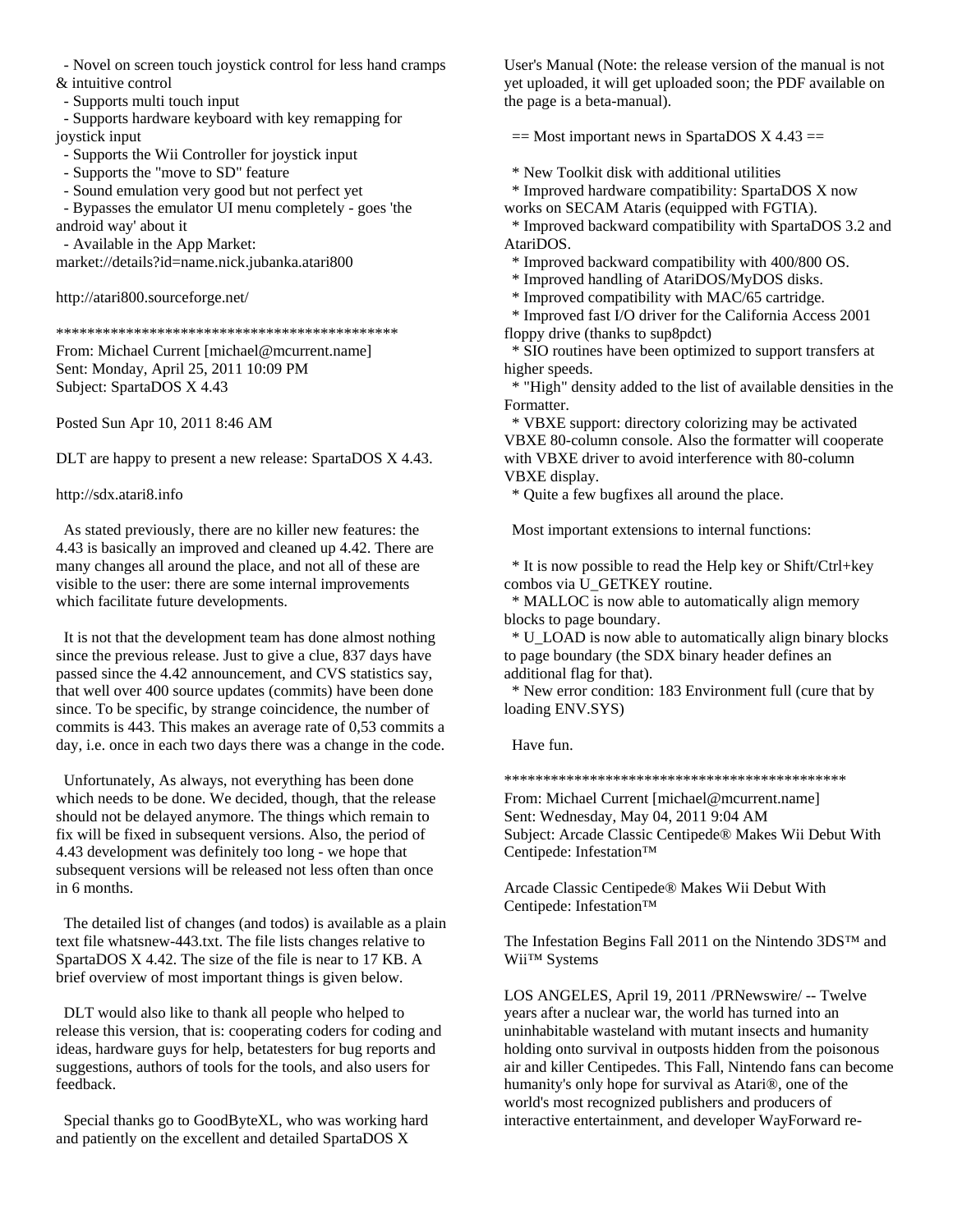- Novel on screen touch joystick control for less hand cramps

& intuitive control

- Supports multi touch input

 - Supports hardware keyboard with key remapping for joystick input

- Supports the Wii Controller for joystick input

- Supports the "move to SD" feature
- Sound emulation very good but not perfect yet

 - Bypasses the emulator UI menu completely - goes 'the android way' about it

- Available in the App Market:

market://details?id=name.nick.jubanka.atari800

http://atari800.sourceforge.net/

\*\*\*\*\*\*\*\*\*\*\*\*\*\*\*\*\*\*\*\*\*\*\*\*\*\*\*\*\*\*\*\*\*\*\*\*\*\*\*\*\*\*\*\*

From: Michael Current [michael@mcurrent.name] Sent: Monday, April 25, 2011 10:09 PM Subject: SpartaDOS X 4.43

Posted Sun Apr 10, 2011 8:46 AM

DLT are happy to present a new release: SpartaDOS X 4.43.

http://sdx.atari8.info

 As stated previously, there are no killer new features: the 4.43 is basically an improved and cleaned up 4.42. There are many changes all around the place, and not all of these are visible to the user: there are some internal improvements which facilitate future developments.

 It is not that the development team has done almost nothing since the previous release. Just to give a clue, 837 days have passed since the 4.42 announcement, and CVS statistics say, that well over 400 source updates (commits) have been done since. To be specific, by strange coincidence, the number of commits is 443. This makes an average rate of 0,53 commits a day, i.e. once in each two days there was a change in the code.

 Unfortunately, As always, not everything has been done which needs to be done. We decided, though, that the release should not be delayed anymore. The things which remain to fix will be fixed in subsequent versions. Also, the period of 4.43 development was definitely too long - we hope that subsequent versions will be released not less often than once in 6 months.

 The detailed list of changes (and todos) is available as a plain text file whatsnew-443.txt. The file lists changes relative to SpartaDOS X 4.42. The size of the file is near to 17 KB. A brief overview of most important things is given below.

 DLT would also like to thank all people who helped to release this version, that is: cooperating coders for coding and ideas, hardware guys for help, betatesters for bug reports and suggestions, authors of tools for the tools, and also users for feedback.

 Special thanks go to GoodByteXL, who was working hard and patiently on the excellent and detailed SpartaDOS X

User's Manual (Note: the release version of the manual is not yet uploaded, it will get uploaded soon; the PDF available on the page is a beta-manual).

 $==$  Most important news in SpartaDOS X 4.43  $==$ 

\* New Toolkit disk with additional utilities

 \* Improved hardware compatibility: SpartaDOS X now works on SECAM Ataris (equipped with FGTIA).

 \* Improved backward compatibility with SpartaDOS 3.2 and AtariDOS.

\* Improved backward compatibility with 400/800 OS.

\* Improved handling of AtariDOS/MyDOS disks.

\* Improved compatibility with MAC/65 cartridge.

 \* Improved fast I/O driver for the California Access 2001 floppy drive (thanks to sup8pdct)

 \* SIO routines have been optimized to support transfers at higher speeds.

 \* "High" density added to the list of available densities in the Formatter.

 \* VBXE support: directory colorizing may be activated VBXE 80-column console. Also the formatter will cooperate with VBXE driver to avoid interference with 80-column VBXE display.

\* Quite a few bugfixes all around the place.

Most important extensions to internal functions:

 \* It is now possible to read the Help key or Shift/Ctrl+key combos via U\_GETKEY routine.

 \* MALLOC is now able to automatically align memory blocks to page boundary.

 \* U\_LOAD is now able to automatically align binary blocks to page boundary (the SDX binary header defines an additional flag for that).

 \* New error condition: 183 Environment full (cure that by loading ENV.SYS)

Have fun.

\*\*\*\*\*\*\*\*\*\*\*\*\*\*\*\*\*\*\*\*\*\*\*\*\*\*\*\*\*\*\*\*\*\*\*\*\*\*\*\*\*\*\*\*

From: Michael Current [michael@mcurrent.name] Sent: Wednesday, May 04, 2011 9:04 AM Subject: Arcade Classic Centipede® Makes Wii Debut With Centipede: Infestation™

Arcade Classic Centipede® Makes Wii Debut With Centipede: Infestation™

The Infestation Begins Fall 2011 on the Nintendo 3DS™ and Wii™ Systems

LOS ANGELES, April 19, 2011 /PRNewswire/ -- Twelve years after a nuclear war, the world has turned into an uninhabitable wasteland with mutant insects and humanity holding onto survival in outposts hidden from the poisonous air and killer Centipedes. This Fall, Nintendo fans can become humanity's only hope for survival as Atari®, one of the world's most recognized publishers and producers of interactive entertainment, and developer WayForward re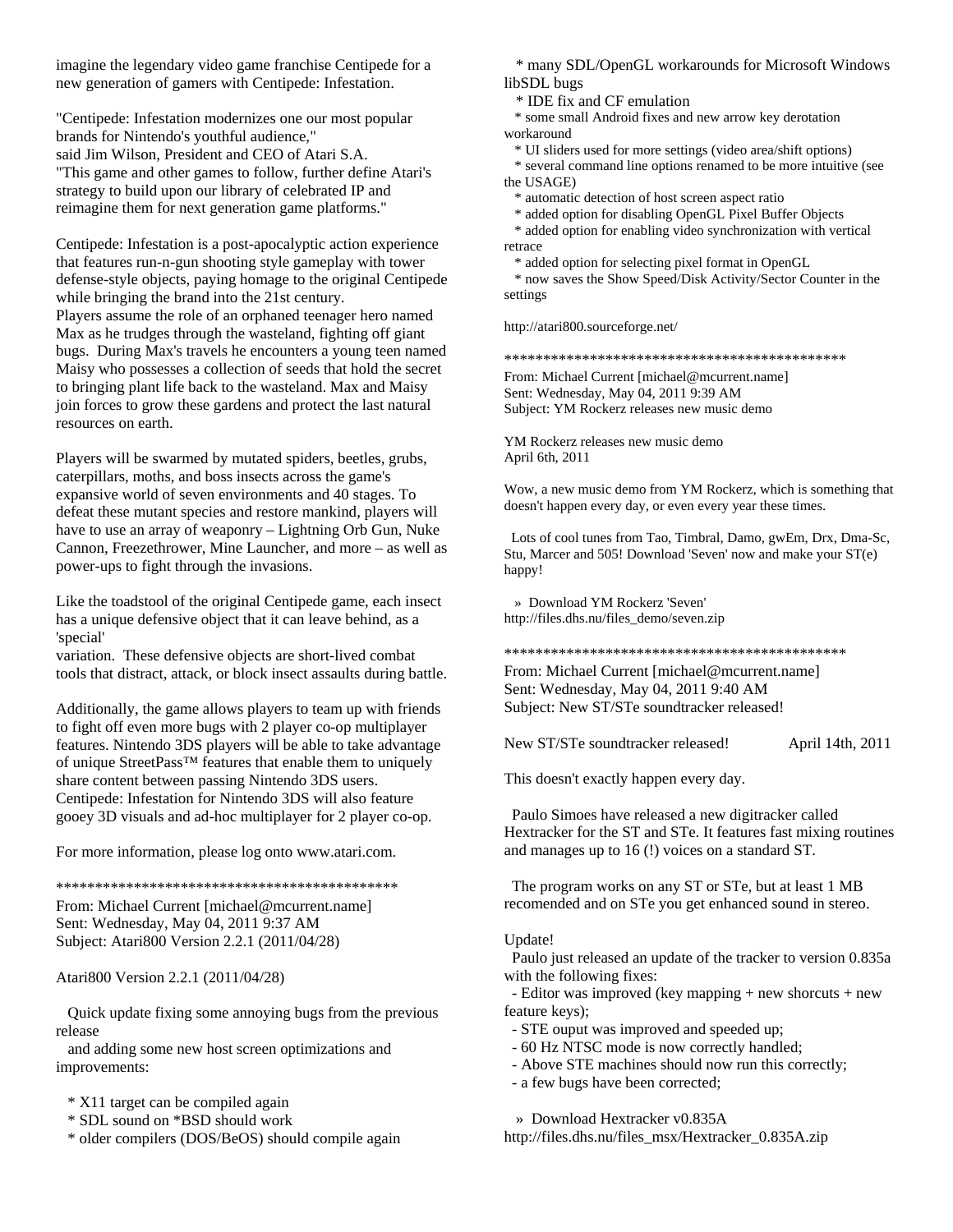imagine the legendary video game franchise Centipede for a new generation of gamers with Centipede: Infestation.

"Centipede: Infestation modernizes one our most popular brands for Nintendo's youthful audience," said Jim Wilson, President and CEO of Atari S.A. "This game and other games to follow, further define Atari's strategy to build upon our library of celebrated IP and reimagine them for next generation game platforms."

Centipede: Infestation is a post-apocalyptic action experience that features run-n-gun shooting style gameplay with tower defense-style objects, paying homage to the original Centipede while bringing the brand into the 21st century. Players assume the role of an orphaned teenager hero named Max as he trudges through the wasteland, fighting off giant bugs. During Max's travels he encounters a young teen named Maisy who possesses a collection of seeds that hold the secret to bringing plant life back to the wasteland. Max and Maisy join forces to grow these gardens and protect the last natural resources on earth.

Players will be swarmed by mutated spiders, beetles, grubs, caterpillars, moths, and boss insects across the game's expansive world of seven environments and 40 stages. To defeat these mutant species and restore mankind, players will have to use an array of weaponry – Lightning Orb Gun, Nuke Cannon, Freezethrower, Mine Launcher, and more – as well as power-ups to fight through the invasions.

Like the toadstool of the original Centipede game, each insect has a unique defensive object that it can leave behind, as a 'special'

variation. These defensive objects are short-lived combat tools that distract, attack, or block insect assaults during battle.

Additionally, the game allows players to team up with friends to fight off even more bugs with 2 player co-op multiplayer features. Nintendo 3DS players will be able to take advantage of unique StreetPass™ features that enable them to uniquely share content between passing Nintendo 3DS users. Centipede: Infestation for Nintendo 3DS will also feature gooey 3D visuals and ad-hoc multiplayer for 2 player co-op.

For more information, please log onto www.atari.com.

\*\*\*\*\*\*\*\*\*\*\*\*\*\*\*\*\*\*\*\*\*\*\*\*\*\*\*\*\*\*\*\*\*\*\*\*\*\*\*\*\*\*\*\*

From: Michael Current [michael@mcurrent.name] Sent: Wednesday, May 04, 2011 9:37 AM Subject: Atari800 Version 2.2.1 (2011/04/28)

Atari800 Version 2.2.1 (2011/04/28)

 Quick update fixing some annoying bugs from the previous release

 and adding some new host screen optimizations and improvements:

### \* X11 target can be compiled again

- \* SDL sound on \*BSD should work
- \* older compilers (DOS/BeOS) should compile again

 \* many SDL/OpenGL workarounds for Microsoft Windows libSDL bugs

\* IDE fix and CF emulation

 \* some small Android fixes and new arrow key derotation workaround

\* UI sliders used for more settings (video area/shift options)

 \* several command line options renamed to be more intuitive (see the USAGE)

\* automatic detection of host screen aspect ratio

\* added option for disabling OpenGL Pixel Buffer Objects

 \* added option for enabling video synchronization with vertical retrace

\* added option for selecting pixel format in OpenGL

 \* now saves the Show Speed/Disk Activity/Sector Counter in the settings

http://atari800.sourceforge.net/

\*\*\*\*\*\*\*\*\*\*\*\*\*\*\*\*\*\*\*\*\*\*\*\*\*\*\*\*\*\*\*\*\*\*\*\*\*\*\*\*\*\*\*\*

From: Michael Current [michael@mcurrent.name] Sent: Wednesday, May 04, 2011 9:39 AM Subject: YM Rockerz releases new music demo

YM Rockerz releases new music demo April 6th, 2011

Wow, a new music demo from YM Rockerz, which is something that doesn't happen every day, or even every year these times.

 Lots of cool tunes from Tao, Timbral, Damo, gwEm, Drx, Dma-Sc, Stu, Marcer and 505! Download 'Seven' now and make your ST(e) happy!

 » Download YM Rockerz 'Seven' http://files.dhs.nu/files\_demo/seven.zip

\*\*\*\*\*\*\*\*\*\*\*\*\*\*\*\*\*\*\*\*\*\*\*\*\*\*\*\*\*\*\*\*\*\*\*\*\*\*\*\*\*\*\*\*

From: Michael Current [michael@mcurrent.name] Sent: Wednesday, May 04, 2011 9:40 AM Subject: New ST/STe soundtracker released!

New ST/STe soundtracker released! April 14th, 2011

This doesn't exactly happen every day.

 Paulo Simoes have released a new digitracker called Hextracker for the ST and STe. It features fast mixing routines and manages up to 16 (!) voices on a standard ST.

 The program works on any ST or STe, but at least 1 MB recomended and on STe you get enhanced sound in stereo.

#### Update!

 Paulo just released an update of the tracker to version 0.835a with the following fixes:

 - Editor was improved (key mapping + new shorcuts + new feature keys);

- STE ouput was improved and speeded up;
- 60 Hz NTSC mode is now correctly handled;
- Above STE machines should now run this correctly;
- a few bugs have been corrected;

» Download Hextracker v0.835A

http://files.dhs.nu/files\_msx/Hextracker\_0.835A.zip